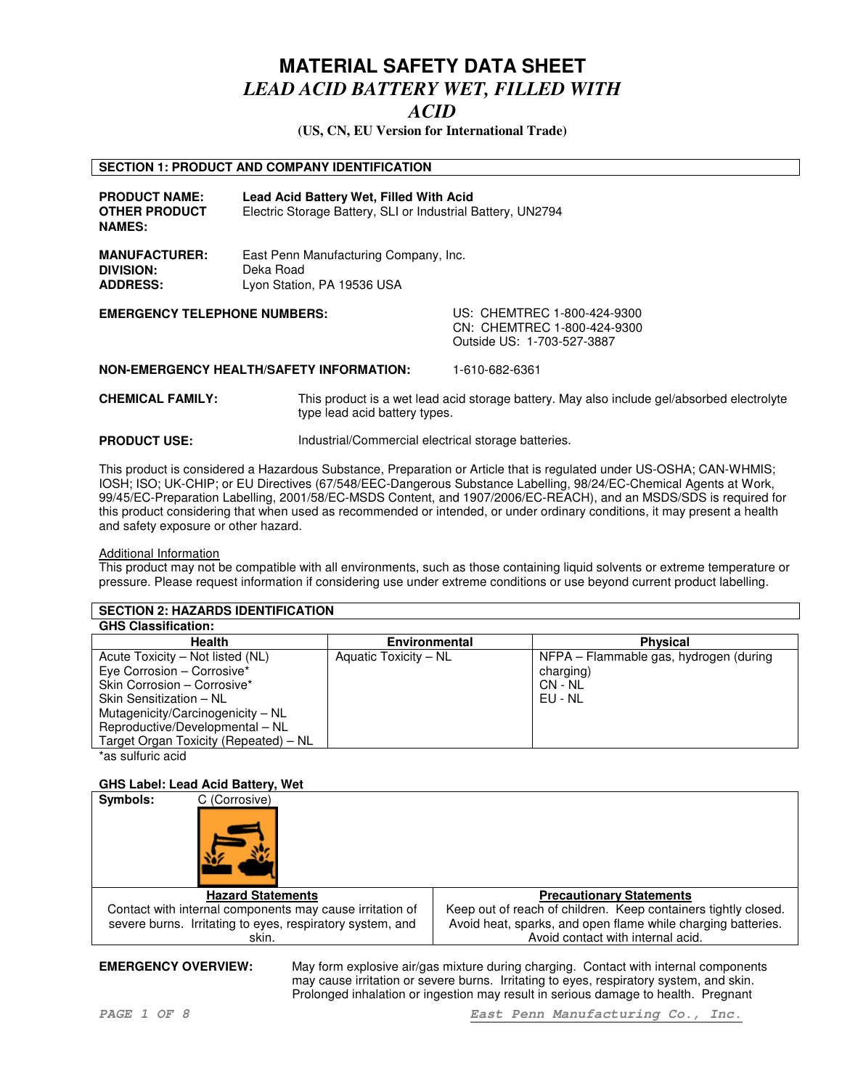### *ACID*

**(US, CN, EU Version for International Trade)**

#### **SECTION 1: PRODUCT AND COMPANY IDENTIFICATION**

| <b>PRODUCT NAME:</b><br><b>OTHER PRODUCT</b><br><b>NAMES:</b> | Lead Acid Battery Wet, Filled With Acid<br>Electric Storage Battery, SLI or Industrial Battery, UN2794 |                                                                                                                                                                                                                      |
|---------------------------------------------------------------|--------------------------------------------------------------------------------------------------------|----------------------------------------------------------------------------------------------------------------------------------------------------------------------------------------------------------------------|
| <b>MANUFACTURER:</b><br>DIVISION:<br><b>ADDRESS:</b>          | East Penn Manufacturing Company, Inc.<br>Deka Road<br>Lyon Station, PA 19536 USA                       |                                                                                                                                                                                                                      |
| <b>EMEDOENOV TELEDUONE NUMBERO.</b>                           |                                                                                                        | $\overline{11}$ $\overline{C}$ . $\overline{C}$ $\overline{C}$ $\overline{C}$ $\overline{C}$ $\overline{C}$ $\overline{C}$ $\overline{C}$ $\overline{C}$ $\overline{C}$ $\overline{C}$ $\overline{C}$ $\overline{C}$ |

**EMERGENCY TELEPHONE NUMBERS:** US: CHEMTREC 1-800-424-9300 CN: CHEMTREC 1-800-424-9300 Outside US: 1-703-527-3887

**NON-EMERGENCY HEALTH/SAFETY INFORMATION:** 1-610-682-6361

**CHEMICAL FAMILY:** This product is a wet lead acid storage battery. May also include gel/absorbed electrolyte type lead acid battery types.

**PRODUCT USE:** Industrial/Commercial electrical storage batteries.

This product is considered a Hazardous Substance, Preparation or Article that is regulated under US-OSHA; CAN-WHMIS; IOSH; ISO; UK-CHIP; or EU Directives (67/548/EEC-Dangerous Substance Labelling, 98/24/EC-Chemical Agents at Work, 99/45/EC-Preparation Labelling, 2001/58/EC-MSDS Content, and 1907/2006/EC-REACH), and an MSDS/SDS is required for this product considering that when used as recommended or intended, or under ordinary conditions, it may present a health and safety exposure or other hazard.

#### Additional Information

This product may not be compatible with all environments, such as those containing liquid solvents or extreme temperature or pressure. Please request information if considering use under extreme conditions or use beyond current product labelling.

| <b>SECTION 2: HAZARDS IDENTIFICATION</b>                                                                                                                                                         |                       |                                                                             |  |  |
|--------------------------------------------------------------------------------------------------------------------------------------------------------------------------------------------------|-----------------------|-----------------------------------------------------------------------------|--|--|
| <b>GHS Classification:</b>                                                                                                                                                                       |                       |                                                                             |  |  |
| <b>Health</b>                                                                                                                                                                                    | <b>Environmental</b>  | <b>Physical</b>                                                             |  |  |
| Acute Toxicity – Not listed (NL)<br>Eye Corrosion - Corrosive*<br>Skin Corrosion - Corrosive*<br>Skin Sensitization - NL<br>Mutagenicity/Carcinogenicity - NL<br>Reproductive/Developmental - NL | Aquatic Toxicity - NL | NFPA – Flammable gas, hydrogen (during<br>charging)<br>CN - NL<br>$EU - NL$ |  |  |
| Target Organ Toxicity (Repeated) - NL<br>$*$ aa aulfuria aaid                                                                                                                                    |                       |                                                                             |  |  |

'as sulfuric acid

#### **GHS Label: Lead Acid Battery, Wet**



**EMERGENCY OVERVIEW:** May form explosive air/gas mixture during charging. Contact with internal components may cause irritation or severe burns. Irritating to eyes, respiratory system, and skin. Prolonged inhalation or ingestion may result in serious damage to health. Pregnant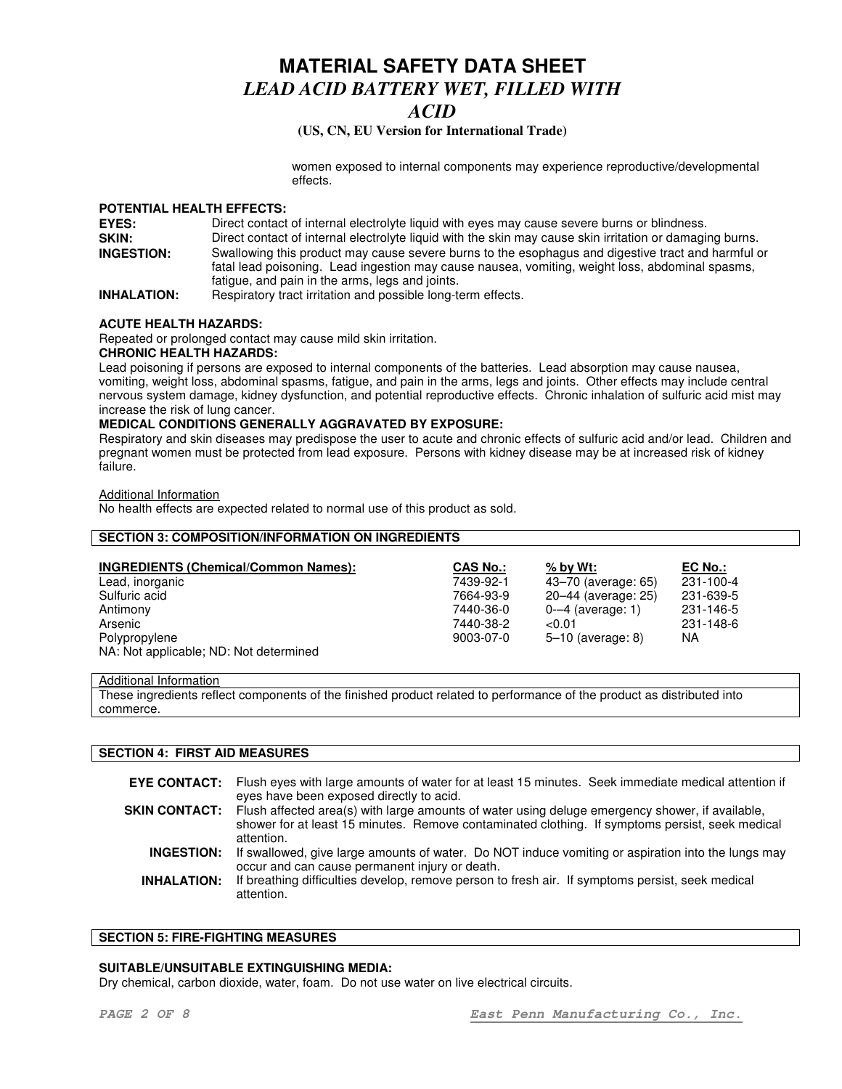## *ACID*

#### **(US, CN, EU Version for International Trade)**

women exposed to internal components may experience reproductive/developmental effects.

#### **POTENTIAL HEALTH EFFECTS:**

| EYES:              | Direct contact of internal electrolyte liquid with eyes may cause severe burns or blindness.                                                                                                                                                             |
|--------------------|----------------------------------------------------------------------------------------------------------------------------------------------------------------------------------------------------------------------------------------------------------|
| SKIN:              | Direct contact of internal electrolyte liquid with the skin may cause skin irritation or damaging burns.                                                                                                                                                 |
| <b>INGESTION:</b>  | Swallowing this product may cause severe burns to the esophagus and digestive tract and harmful or<br>fatal lead poisoning. Lead ingestion may cause nausea, vomiting, weight loss, abdominal spasms,<br>fatique, and pain in the arms, legs and joints. |
| <b>INHALATION:</b> | Respiratory tract irritation and possible long-term effects.                                                                                                                                                                                             |

#### **ACUTE HEALTH HAZARDS:**

Repeated or prolonged contact may cause mild skin irritation.

#### **CHRONIC HEALTH HAZARDS:**

Lead poisoning if persons are exposed to internal components of the batteries. Lead absorption may cause nausea, vomiting, weight loss, abdominal spasms, fatigue, and pain in the arms, legs and joints. Other effects may include central nervous system damage, kidney dysfunction, and potential reproductive effects. Chronic inhalation of sulfuric acid mist may increase the risk of lung cancer.

#### **MEDICAL CONDITIONS GENERALLY AGGRAVATED BY EXPOSURE:**

Respiratory and skin diseases may predispose the user to acute and chronic effects of sulfuric acid and/or lead. Children and pregnant women must be protected from lead exposure. Persons with kidney disease may be at increased risk of kidney failure.

Additional Information

No health effects are expected related to normal use of this product as sold.

#### **SECTION 3: COMPOSITION/INFORMATION ON INGREDIENTS**

| <b>INGREDIENTS (Chemical/Common Names):</b> | <b>CAS No.:</b> | $%$ by Wt:          | EC No.:   |
|---------------------------------------------|-----------------|---------------------|-----------|
| Lead, inorganic                             | 7439-92-1       | 43–70 (average: 65) | 231-100-4 |
| Sulfuric acid                               | 7664-93-9       | 20–44 (average: 25) | 231-639-5 |
| Antimony                                    | 7440-36-0       | $0-4$ (average: 1)  | 231-146-5 |
| Arsenic                                     | 7440-38-2       | ${<}0.01$           | 231-148-6 |
| Polypropylene                               | 9003-07-0       | $5-10$ (average: 8) | NA.       |
| NA: Not applicable; ND: Not determined      |                 |                     |           |

#### Additional Information

These ingredients reflect components of the finished product related to performance of the product as distributed into commerce.

#### **SECTION 4: FIRST AID MEASURES**

|                    | <b>EYE CONTACT:</b> Flush eyes with large amounts of water for at least 15 minutes. Seek immediate medical attention if<br>eyes have been exposed directly to acid.                                                     |
|--------------------|-------------------------------------------------------------------------------------------------------------------------------------------------------------------------------------------------------------------------|
|                    | <b>SKIN CONTACT:</b> Flush affected area(s) with large amounts of water using deluge emergency shower, if available,<br>shower for at least 15 minutes. Remove contaminated clothing. If symptoms persist, seek medical |
|                    | attention.                                                                                                                                                                                                              |
| <b>INGESTION:</b>  | If swallowed, give large amounts of water. Do NOT induce vomiting or aspiration into the lungs may<br>occur and can cause permanent injury or death.                                                                    |
| <b>INHALATION:</b> | If breathing difficulties develop, remove person to fresh air. If symptoms persist, seek medical<br>attention.                                                                                                          |

#### **SECTION 5: FIRE-FIGHTING MEASURES**

#### **SUITABLE/UNSUITABLE EXTINGUISHING MEDIA:**

Dry chemical, carbon dioxide, water, foam. Do not use water on live electrical circuits.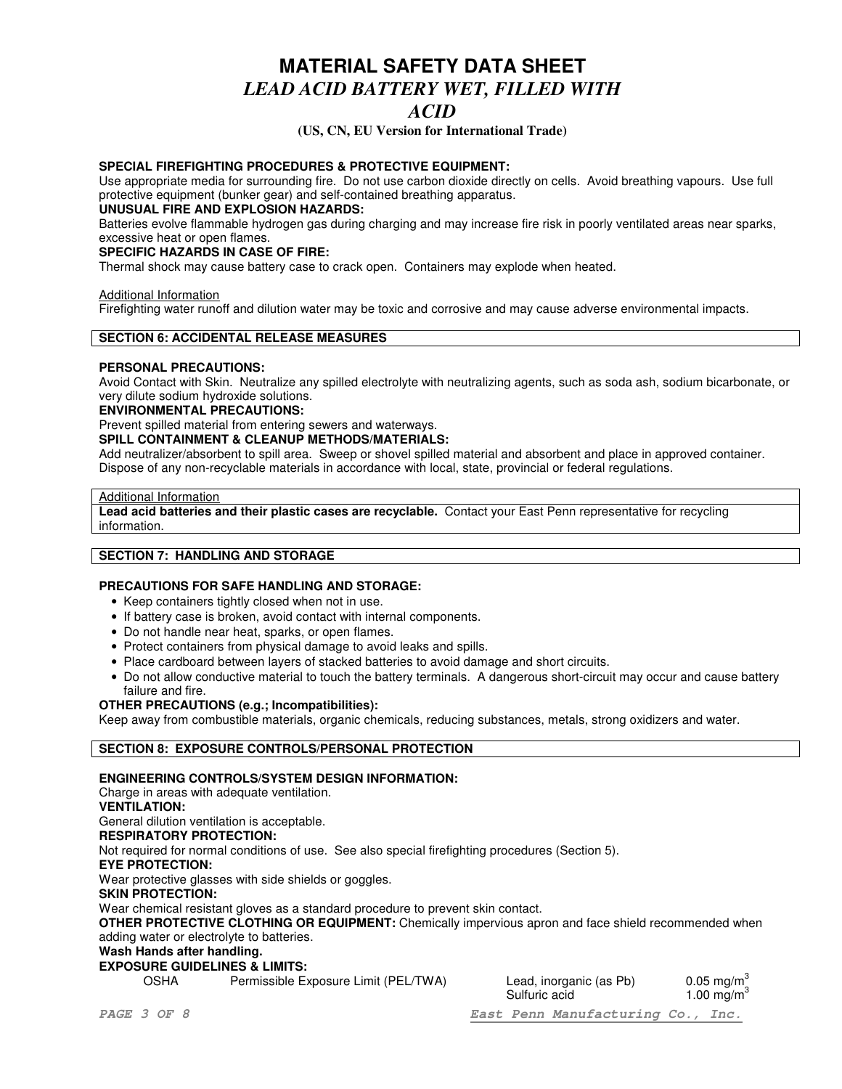### *ACID*

**(US, CN, EU Version for International Trade)**

#### **SPECIAL FIREFIGHTING PROCEDURES & PROTECTIVE EQUIPMENT:**

Use appropriate media for surrounding fire. Do not use carbon dioxide directly on cells. Avoid breathing vapours. Use full protective equipment (bunker gear) and self-contained breathing apparatus.

#### **UNUSUAL FIRE AND EXPLOSION HAZARDS:**

Batteries evolve flammable hydrogen gas during charging and may increase fire risk in poorly ventilated areas near sparks, excessive heat or open flames.

#### **SPECIFIC HAZARDS IN CASE OF FIRE:**

Thermal shock may cause battery case to crack open. Containers may explode when heated.

#### Additional Information

Firefighting water runoff and dilution water may be toxic and corrosive and may cause adverse environmental impacts.

#### **SECTION 6: ACCIDENTAL RELEASE MEASURES**

#### **PERSONAL PRECAUTIONS:**

Avoid Contact with Skin. Neutralize any spilled electrolyte with neutralizing agents, such as soda ash, sodium bicarbonate, or very dilute sodium hydroxide solutions.

#### **ENVIRONMENTAL PRECAUTIONS:**

Prevent spilled material from entering sewers and waterways.

#### **SPILL CONTAINMENT & CLEANUP METHODS/MATERIALS:**

Add neutralizer/absorbent to spill area. Sweep or shovel spilled material and absorbent and place in approved container. Dispose of any non-recyclable materials in accordance with local, state, provincial or federal regulations.

#### Additional Information

**Lead acid batteries and their plastic cases are recyclable.** Contact your East Penn representative for recycling information.

#### **SECTION 7: HANDLING AND STORAGE**

#### **PRECAUTIONS FOR SAFE HANDLING AND STORAGE:**

- Keep containers tightly closed when not in use.
- If battery case is broken, avoid contact with internal components.
- Do not handle near heat, sparks, or open flames.
- Protect containers from physical damage to avoid leaks and spills.
- Place cardboard between layers of stacked batteries to avoid damage and short circuits.
- Do not allow conductive material to touch the battery terminals. A dangerous short-circuit may occur and cause battery failure and fire.

#### **OTHER PRECAUTIONS (e.g.; Incompatibilities):**

Keep away from combustible materials, organic chemicals, reducing substances, metals, strong oxidizers and water.

#### **SECTION 8: EXPOSURE CONTROLS/PERSONAL PROTECTION**

#### **ENGINEERING CONTROLS/SYSTEM DESIGN INFORMATION:**

Charge in areas with adequate ventilation.

**VENTILATION:**

General dilution ventilation is acceptable.

#### **RESPIRATORY PROTECTION:**

Not required for normal conditions of use. See also special firefighting procedures (Section 5).

#### **EYE PROTECTION:**

Wear protective glasses with side shields or goggles.

#### **SKIN PROTECTION:**

Wear chemical resistant gloves as a standard procedure to prevent skin contact.

**OTHER PROTECTIVE CLOTHING OR EQUIPMENT:** Chemically impervious apron and face shield recommended when adding water or electrolyte to batteries.

### **Wash Hands after handling.**

#### **EXPOSURE GUIDELINES & LIMITS:**

OSHA Permissible Exposure Limit (PEL/TWA) Lead, inorganic (as Pb)

 $0.05 \text{ ma/m}^3$ Sulfuric acid 1.00 mg/m $3$ 

*PAGE 3 OF 8 East Penn Manufacturing Co., Inc.*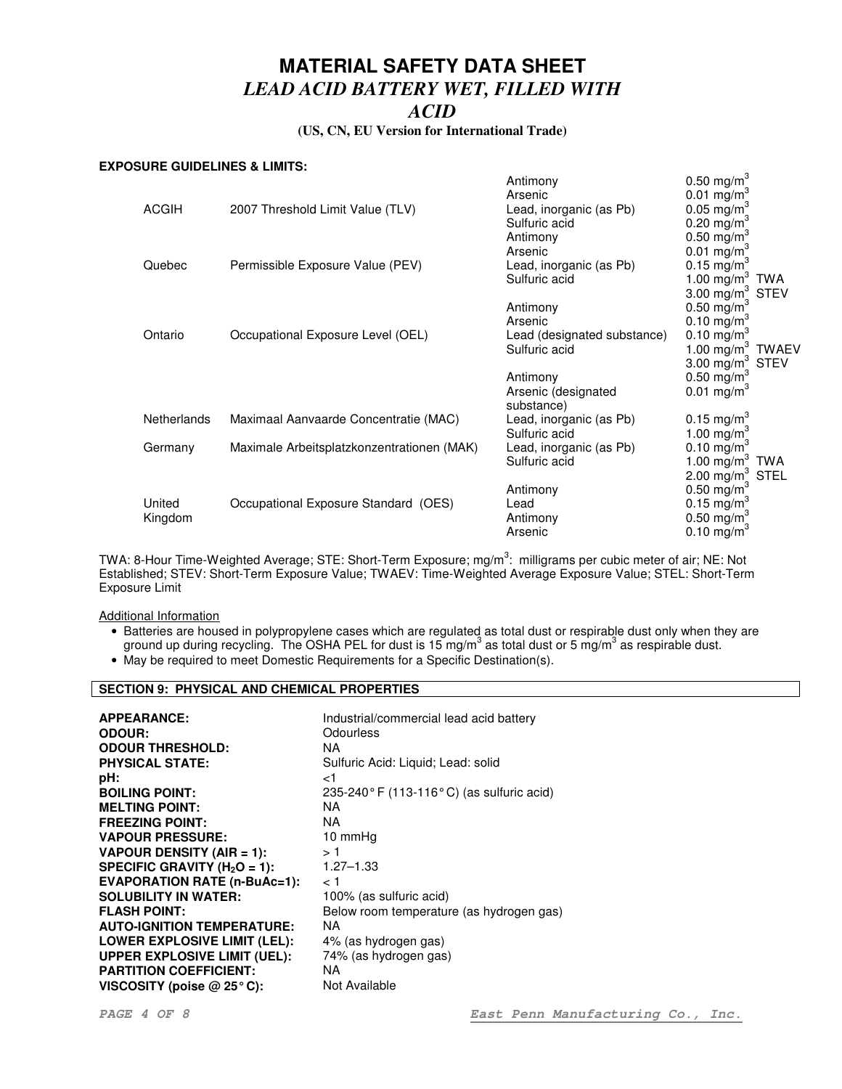#### **(US, CN, EU Version for International Trade)**

#### **EXPOSURE GUIDELINES & LIMITS:**

|                    |                                            | Antimony<br>Arsenic         | $0.50$ mg/m <sup>3</sup><br>$0.01$ mg/m <sup>3</sup> |  |
|--------------------|--------------------------------------------|-----------------------------|------------------------------------------------------|--|
| <b>ACGIH</b>       | 2007 Threshold Limit Value (TLV)           | Lead, inorganic (as Pb)     | $0.05 \text{ mg/m}^3$                                |  |
|                    |                                            | Sulfuric acid               | 0.20 mg/m <sup>3</sup>                               |  |
|                    |                                            | Antimony                    | $0.50 \text{ mg/m}^3$                                |  |
|                    |                                            | Arsenic                     | 0.01 mg/m <sup>3</sup>                               |  |
| Quebec             | Permissible Exposure Value (PEV)           | Lead, inorganic (as Pb)     | 0.15 mg/m <sup>3</sup>                               |  |
|                    |                                            | Sulfuric acid               | 1.00 mg/m $3$ TWA                                    |  |
|                    |                                            |                             | 3.00 $mg/m^3$ STEV                                   |  |
|                    |                                            | Antimony                    | $0.50 \,\mathrm{mg/m^3}$                             |  |
|                    |                                            | Arsenic                     | 0.10 mg/m <sup>3</sup>                               |  |
| Ontario            | Occupational Exposure Level (OEL)          | Lead (designated substance) | 0.10 mg/m <sup>3</sup>                               |  |
|                    |                                            | Sulfuric acid               | 1.00 $mg/m^3$ TWAEV                                  |  |
|                    |                                            |                             | 3.00 mg/m $3$ STEV                                   |  |
|                    |                                            | Antimony                    | 0.50 mg/m <sup>3</sup>                               |  |
|                    |                                            | Arsenic (designated         | 0.01 mg/m <sup>3</sup>                               |  |
|                    |                                            | substance)                  |                                                      |  |
| <b>Netherlands</b> | Maximaal Aanvaarde Concentratie (MAC)      | Lead, inorganic (as Pb)     | 0.15 mg/m <sup>3</sup>                               |  |
|                    |                                            | Sulfuric acid               | 1.00 mg/m <sup>3</sup>                               |  |
| Germany            | Maximale Arbeitsplatzkonzentrationen (MAK) | Lead, inorganic (as Pb)     | 0.10 $mg/m^3$                                        |  |
|                    |                                            | Sulfuric acid               | 1.00 mg/m $3$ TWA                                    |  |
|                    |                                            |                             | 2.00 mg/m <sup>3</sup> STEL                          |  |
|                    |                                            | Antimony                    | $0.50$ mg/m <sup>3</sup>                             |  |
| United             | Occupational Exposure Standard (OES)       | Lead                        | 0.15 mg/m <sup>3</sup>                               |  |
| Kingdom            |                                            | Antimony                    | 0.50 mg/m <sup>3</sup>                               |  |
|                    |                                            | Arsenic                     | 0.10 mg/m <sup>3</sup>                               |  |

TWA: 8-Hour Time-Weighted Average; STE: Short-Term Exposure; mg/m<sup>3</sup>: milligrams per cubic meter of air; NE: Not Established; STEV: Short-Term Exposure Value; TWAEV: Time-Weighted Average Exposure Value; STEL: Short-Term Exposure Limit

Additional Information

- Batteries are housed in polypropylene cases which are regulated as total dust or respirable dust only when they are ground up during recycling. The OSHA PEL for dust is 15 mg/m<sup>3</sup> as total dust or 5 mg/m<sup>3</sup> as respirable dust.
- May be required to meet Domestic Requirements for a Specific Destination(s).

### **SECTION 9: PHYSICAL AND CHEMICAL PROPERTIES**

| Industrial/commercial lead acid battery  |
|------------------------------------------|
| Odourless                                |
| NA.                                      |
| Sulfuric Acid: Liquid; Lead: solid       |
| ا>                                       |
| 235-240°F (113-116°C) (as sulfuric acid) |
| NA.                                      |
| NA                                       |
| 10 mmHq                                  |
| >1                                       |
| $1.27 - 1.33$                            |
| ا >                                      |
| 100% (as sulfuric acid)                  |
| Below room temperature (as hydrogen gas) |
| NA                                       |
| 4% (as hydrogen gas)                     |
| 74% (as hydrogen gas)                    |
| NA                                       |
| Not Available                            |
|                                          |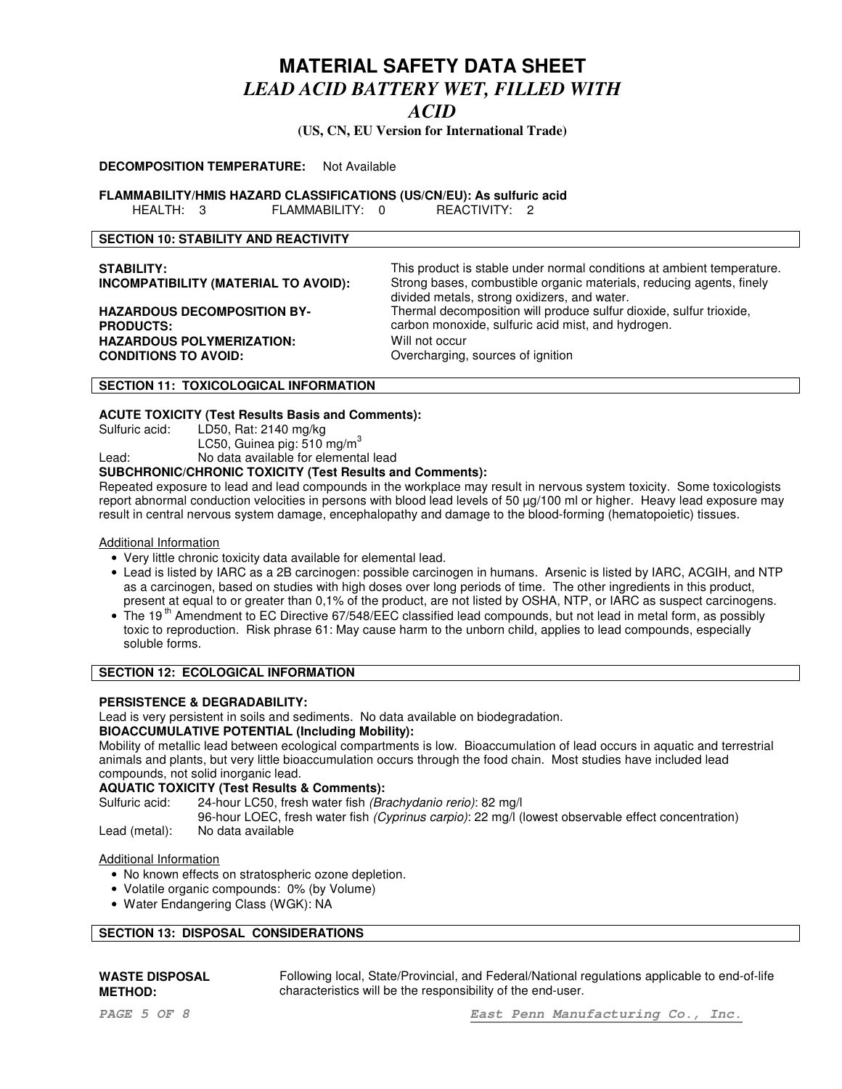### *ACID*

**(US, CN, EU Version for International Trade)**

#### **DECOMPOSITION TEMPERATURE:** Not Available

**FLAMMABILITY/HMIS HAZARD CLASSIFICATIONS (US/CN/EU): As sulfuric acid**

HEALTH: 3 FLAMMABILITY: 0 REACTIVITY: 2

#### **SECTION 10: STABILITY AND REACTIVITY**

| <b>STABILITY:</b><br><b>INCOMPATIBILITY (MATERIAL TO AVOID):</b> | This product is stable under normal conditions at ambient temperature.<br>Strong bases, combustible organic materials, reducing agents, finely<br>divided metals, strong oxidizers, and water. |
|------------------------------------------------------------------|------------------------------------------------------------------------------------------------------------------------------------------------------------------------------------------------|
| <b>HAZARDOUS DECOMPOSITION BY-</b>                               | Thermal decomposition will produce sulfur dioxide, sulfur trioxide,                                                                                                                            |
| <b>PRODUCTS:</b>                                                 | carbon monoxide, sulfuric acid mist, and hydrogen.                                                                                                                                             |
| <b>HAZARDOUS POLYMERIZATION:</b>                                 | Will not occur                                                                                                                                                                                 |
| <b>CONDITIONS TO AVOID:</b>                                      | Overcharging, sources of ignition                                                                                                                                                              |

#### **SECTION 11: TOXICOLOGICAL INFORMATION**

# **ACUTE TOXICITY (Test Results Basis and Comments):**

LD50, Rat:  $2140$  mg/kg LC50, Guinea pig:  $510$  mg/m $^3$ 

Lead: No data available for elemental lead

#### **SUBCHRONIC/CHRONIC TOXICITY (Test Results and Comments):**

Repeated exposure to lead and lead compounds in the workplace may result in nervous system toxicity. Some toxicologists report abnormal conduction velocities in persons with blood lead levels of 50 µg/100 ml or higher. Heavy lead exposure may result in central nervous system damage, encephalopathy and damage to the blood-forming (hematopoietic) tissues.

Additional Information

- Very little chronic toxicity data available for elemental lead.
- Lead is listed by IARC as a 2B carcinogen: possible carcinogen in humans. Arsenic is listed by IARC, ACGIH, and NTP as a carcinogen, based on studies with high doses over long periods of time. The other ingredients in this product, present at equal to or greater than 0,1% of the product, are not listed by OSHA, NTP, or IARC as suspect carcinogens.
- $\bullet$  The 19<sup>th</sup> Amendment to EC Directive 67/548/EEC classified lead compounds, but not lead in metal form, as possibly toxic to reproduction. Risk phrase 61: May cause harm to the unborn child, applies to lead compounds, especially soluble forms.

#### **SECTION 12: ECOLOGICAL INFORMATION**

#### **PERSISTENCE & DEGRADABILITY:**

Lead is very persistent in soils and sediments. No data available on biodegradation.

#### **BIOACCUMULATIVE POTENTIAL (Including Mobility):**

Mobility of metallic lead between ecological compartments is low. Bioaccumulation of lead occurs in aquatic and terrestrial animals and plants, but very little bioaccumulation occurs through the food chain. Most studies have included lead compounds, not solid inorganic lead.

#### **AQUATIC TOXICITY (Test Results & Comments):**

Sulfuric acid: 24-hour LC50, fresh water fish *(Brachydanio rerio)*: 82 mg/l

96-hour LOEC, fresh water fish *(Cyprinus carpio)*: 22 mg/l (lowest observable effect concentration)

Lead (metal): No data available

#### Additional Information

- No known effects on stratospheric ozone depletion.
- Volatile organic compounds: 0% (by Volume)
- Water Endangering Class (WGK): NA

#### **SECTION 13: DISPOSAL CONSIDERATIONS**

#### **WASTE DISPOSAL METHOD:**

Following local, State/Provincial, and Federal/National regulations applicable to end-of-life characteristics will be the responsibility of the end-user.

*PAGE 5 OF 8 East Penn Manufacturing Co., Inc.*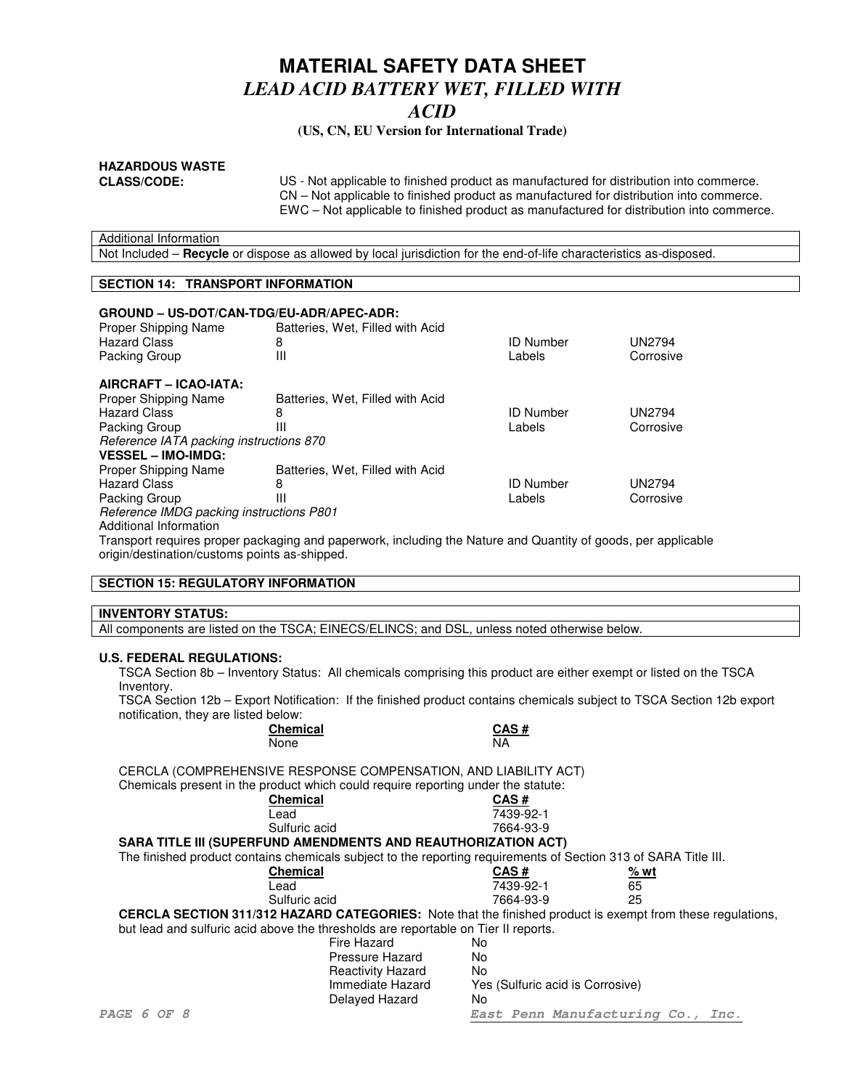#### **(US, CN, EU Version for International Trade)**

# **HAZARDOUS WASTE**

**CLASS/CODE:** US - Not applicable to finished product as manufactured for distribution into commerce. CN – Not applicable to finished product as manufactured for distribution into commerce. EWC – Not applicable to finished product as manufactured for distribution into commerce.

| Additional Information |                                                                                                                     |
|------------------------|---------------------------------------------------------------------------------------------------------------------|
|                        | Not Included – Recycle or dispose as allowed by local jurisdiction for the end-of-life characteristics as-disposed. |

#### **SECTION 14: TRANSPORT INFORMATION**

#### **GROUND – US-DOT/CAN-TDG/EU-ADR/APEC-ADR:** Batteries, Wet, Filled with Acid Hazard Class 8 ID Number UN2794 Packing Group **AIRCRAFT – ICAO-IATA:** Batteries, Wet, Filled with Acid Hazard Class 8 ID Number UN2794 Packing Group *Reference IATA packing instructions 870* **VESSEL – IMO-IMDG:** Batteries, Wet, Filled with Acid Hazard Class 8 ID Number UN2794 Packing Group *Reference IMDG packing instructions P801* Additional Information

Transport requires proper packaging and paperwork, including the Nature and Quantity of goods, per applicable origin/destination/customs points as-shipped.

#### **SECTION 15: REGULATORY INFORMATION**

### **INVENTORY STATUS:**

All components are listed on the TSCA; EINECS/ELINCS; and DSL, unless noted otherwise below.

#### **U.S. FEDERAL REGULATIONS:**

TSCA Section 8b – Inventory Status: All chemicals comprising this product are either exempt or listed on the TSCA Inventory.

TSCA Section 12b – Export Notification: If the finished product contains chemicals subject to TSCA Section 12b export notification, they are listed below:

| Chemical | CAS# |
|----------|------|
| None     | ΝA   |

CERCLA (COMPREHENSIVE RESPONSE COMPENSATION, AND LIABILITY ACT) Chemicals present in the product which could require reporting under the statute:

| <u>Undimodia broading in the product willow obdite require reporting ander the statute.</u>                       |                                  |      |  |
|-------------------------------------------------------------------------------------------------------------------|----------------------------------|------|--|
| <b>Chemical</b>                                                                                                   | CAS#                             |      |  |
| Lead                                                                                                              | 7439-92-1                        |      |  |
| Sulfuric acid                                                                                                     | 7664-93-9                        |      |  |
| <b>SARA TITLE III (SUPERFUND AMENDMENTS AND REAUTHORIZATION ACT)</b>                                              |                                  |      |  |
| The finished product contains chemicals subject to the reporting requirements of Section 313 of SARA Title III.   |                                  |      |  |
| <b>Chemical</b>                                                                                                   | CAS#                             | % wt |  |
| Lead                                                                                                              | 7439-92-1                        | 65   |  |
| Sulfuric acid                                                                                                     | 7664-93-9                        | 25   |  |
| <b>CERCLA SECTION 311/312 HAZARD CATEGORIES:</b> Note that the finished product is exempt from these regulations, |                                  |      |  |
| but lead and sulfuric acid above the thresholds are reportable on Tier II reports.                                |                                  |      |  |
| Fire Hazard                                                                                                       | No.                              |      |  |
| Pressure Hazard                                                                                                   | No.                              |      |  |
| <b>Reactivity Hazard</b>                                                                                          | No.                              |      |  |
| Immediate Hazard                                                                                                  | Yes (Sulfuric acid is Corrosive) |      |  |
| Delayed Hazard                                                                                                    | No                               |      |  |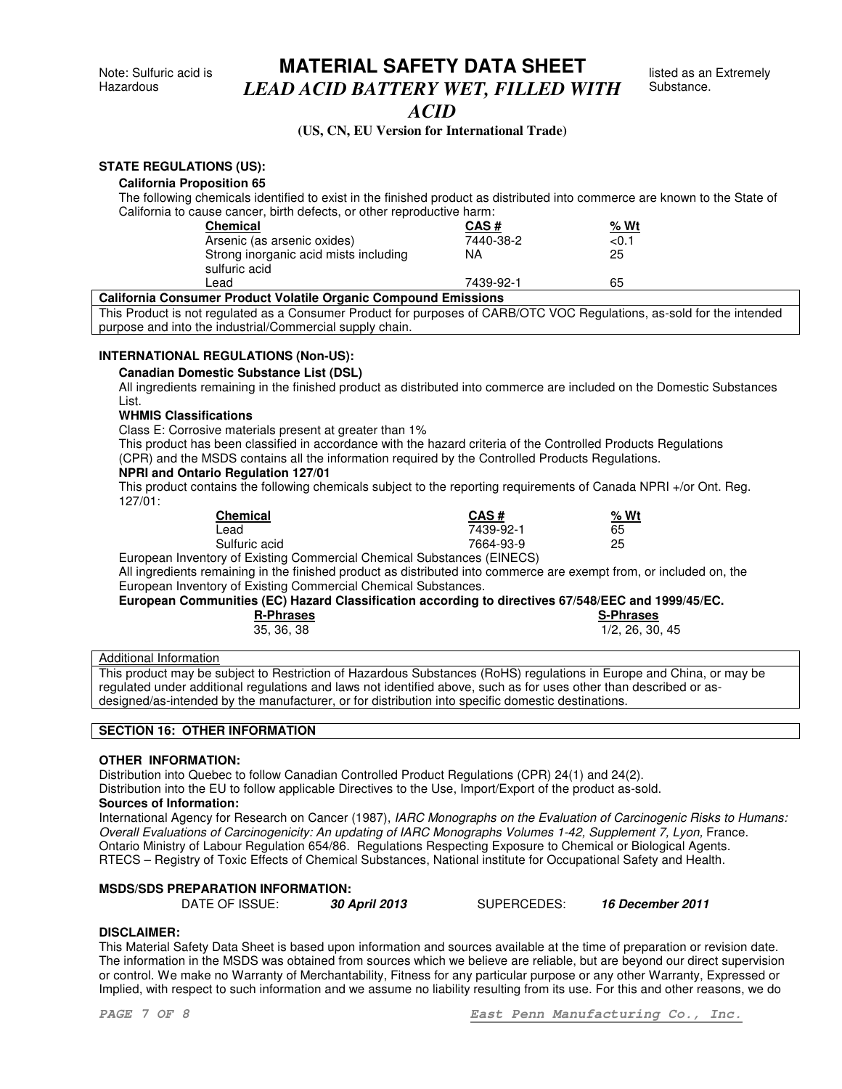### *ACID*

#### **(US, CN, EU Version for International Trade)**

#### **STATE REGULATIONS (US):**

#### **California Proposition 65**

The following chemicals identified to exist in the finished product as distributed into commerce are known to the State of California to cause cancer, birth defects, or other reproductive harm:

| <b>Chemical</b>                                        | CAS#      | % Wt |  |
|--------------------------------------------------------|-----------|------|--|
| Arsenic (as arsenic oxides)                            | 7440-38-2 | <0.1 |  |
| Strong inorganic acid mists including<br>sulfuric acid | NA        | 25   |  |
| ∟ead                                                   | 7439-92-1 | 65   |  |

#### **California Consumer Product Volatile Organic Compound Emissions**

This Product is not regulated as a Consumer Product for purposes of CARB/OTC VOC Regulations, as-sold for the intended purpose and into the industrial/Commercial supply chain.

#### **INTERNATIONAL REGULATIONS (Non-US):**

#### **Canadian Domestic Substance List (DSL)**

All ingredients remaining in the finished product as distributed into commerce are included on the Domestic Substances List.

#### **WHMIS Classifications**

Class E: Corrosive materials present at greater than 1%

This product has been classified in accordance with the hazard criteria of the Controlled Products Regulations (CPR) and the MSDS contains all the information required by the Controlled Products Regulations.

#### **NPRI and Ontario Regulation 127/01**

This product contains the following chemicals subject to the reporting requirements of Canada NPRI +/or Ont. Reg. 127/01:

| <b>Chemical</b> | CAS#                         | Wt<br>% |
|-----------------|------------------------------|---------|
| Lead            | 7439-92-1                    | 65      |
| Sulfuric acid   | 7664-93-9                    | 25      |
| .               | $\cdots$<br>$\cdots$<br>$-1$ |         |

European Inventory of Existing Commercial Chemical Substances (EINECS) All ingredients remaining in the finished product as distributed into commerce are exempt from, or included on, the European Inventory of Existing Commercial Chemical Substances.

#### **European Communities (EC) Hazard Classification according to directives 67/548/EEC and 1999/45/EC.**

| <b>R-Phrases</b> | <b>S-Phrases</b> |
|------------------|------------------|
| 35, 36, 38       | 1/2, 26, 30, 45  |

| S-Phrases       |
|-----------------|
| 1/2, 26, 30, 45 |

#### Additional Information

This product may be subject to Restriction of Hazardous Substances (RoHS) regulations in Europe and China, or may be regulated under additional regulations and laws not identified above, such as for uses other than described or asdesigned/as-intended by the manufacturer, or for distribution into specific domestic destinations.

#### **SECTION 16: OTHER INFORMATION**

#### **OTHER INFORMATION:**

Distribution into Quebec to follow Canadian Controlled Product Regulations (CPR) 24(1) and 24(2).

Distribution into the EU to follow applicable Directives to the Use, Import/Export of the product as-sold.

#### **Sources of Information:**

International Agency for Research on Cancer (1987), *IARC Monographs on the Evaluation of Carcinogenic Risks to Humans: Overall Evaluations of Carcinogenicity: An updating of IARC Monographs Volumes 1-42, Supplement 7, Lyon,* France. Ontario Ministry of Labour Regulation 654/86. Regulations Respecting Exposure to Chemical or Biological Agents. RTECS – Registry of Toxic Effects of Chemical Substances, National institute for Occupational Safety and Health.

#### **MSDS/SDS PREPARATION INFORMATION:**

DATE OF ISSUE: *30 April 2013* SUPERCEDES: *16 December 2011*

#### **DISCLAIMER:**

This Material Safety Data Sheet is based upon information and sources available at the time of preparation or revision date. The information in the MSDS was obtained from sources which we believe are reliable, but are beyond our direct supervision or control. We make no Warranty of Merchantability, Fitness for any particular purpose or any other Warranty, Expressed or Implied, with respect to such information and we assume no liability resulting from its use. For this and other reasons, we do